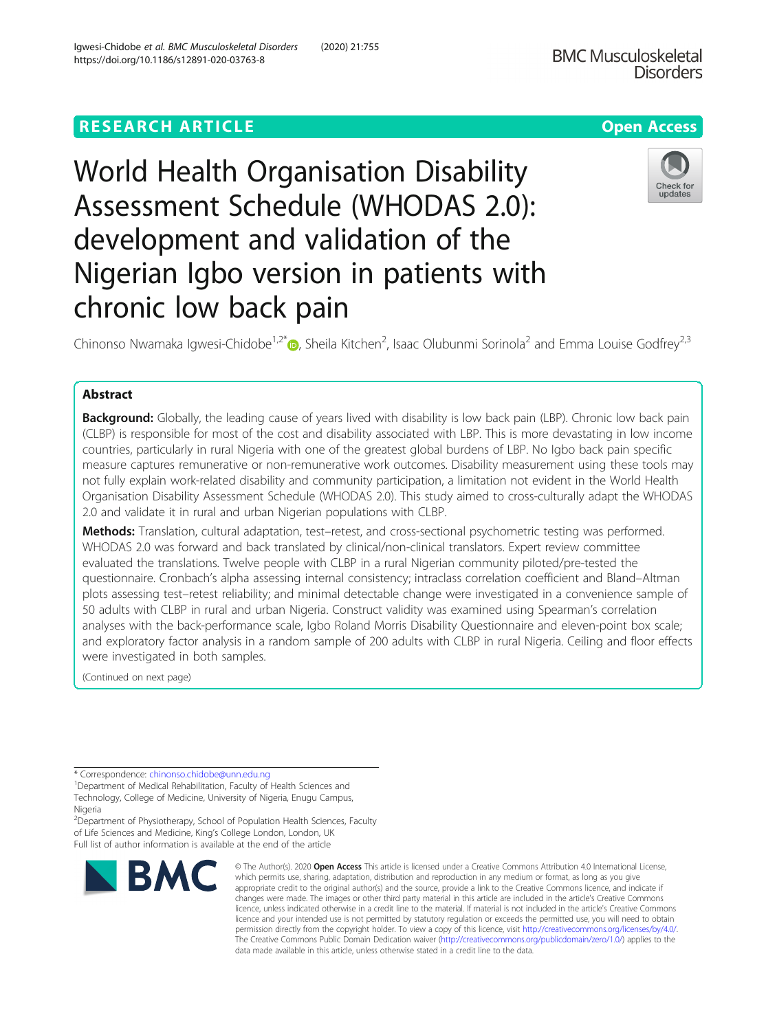# **RESEARCH ARTICLE Example 2014 12:30 The Contract of Contract ACCESS**

# World Health Organisation Disability Assessment Schedule (WHODAS 2.0): development and validation of the Nigerian Igbo version in patients with chronic low back pain

Chinonso Nwamaka Igwesi-Chidobe<sup>1,2[\\*](http://orcid.org/0000-0001-8021-0283)</sup> (@, Sheila Kitchen<sup>2</sup>, Isaac Olubunmi Sorinola<sup>2</sup> and Emma Louise Godfrey<sup>2,3</sup>

# Abstract

Background: Globally, the leading cause of years lived with disability is low back pain (LBP). Chronic low back pain (CLBP) is responsible for most of the cost and disability associated with LBP. This is more devastating in low income countries, particularly in rural Nigeria with one of the greatest global burdens of LBP. No Igbo back pain specific measure captures remunerative or non-remunerative work outcomes. Disability measurement using these tools may not fully explain work-related disability and community participation, a limitation not evident in the World Health Organisation Disability Assessment Schedule (WHODAS 2.0). This study aimed to cross-culturally adapt the WHODAS 2.0 and validate it in rural and urban Nigerian populations with CLBP.

Methods: Translation, cultural adaptation, test–retest, and cross-sectional psychometric testing was performed. WHODAS 2.0 was forward and back translated by clinical/non-clinical translators. Expert review committee evaluated the translations. Twelve people with CLBP in a rural Nigerian community piloted/pre-tested the questionnaire. Cronbach's alpha assessing internal consistency; intraclass correlation coefficient and Bland–Altman plots assessing test–retest reliability; and minimal detectable change were investigated in a convenience sample of 50 adults with CLBP in rural and urban Nigeria. Construct validity was examined using Spearman's correlation analyses with the back-performance scale, Igbo Roland Morris Disability Questionnaire and eleven-point box scale; and exploratory factor analysis in a random sample of 200 adults with CLBP in rural Nigeria. Ceiling and floor effects were investigated in both samples.

(Continued on next page)

\* Correspondence: [chinonso.chidobe@unn.edu.ng](mailto:chinonso.chidobe@unn.edu.ng) <sup>1</sup>

**BMC** 

<sup>1</sup> Department of Medical Rehabilitation, Faculty of Health Sciences and Technology, College of Medicine, University of Nigeria, Enugu Campus, Nigeria

<sup>2</sup>Department of Physiotherapy, School of Population Health Sciences, Faculty of Life Sciences and Medicine, King's College London, London, UK Full list of author information is available at the end of the article

which permits use, sharing, adaptation, distribution and reproduction in any medium or format, as long as you give appropriate credit to the original author(s) and the source, provide a link to the Creative Commons licence, and indicate if changes were made. The images or other third party material in this article are included in the article's Creative Commons licence, unless indicated otherwise in a credit line to the material. If material is not included in the article's Creative Commons licence and your intended use is not permitted by statutory regulation or exceeds the permitted use, you will need to obtain permission directly from the copyright holder. To view a copy of this licence, visit [http://creativecommons.org/licenses/by/4.0/.](http://creativecommons.org/licenses/by/4.0/) The Creative Commons Public Domain Dedication waiver [\(http://creativecommons.org/publicdomain/zero/1.0/](http://creativecommons.org/publicdomain/zero/1.0/)) applies to the data made available in this article, unless otherwise stated in a credit line to the data.

© The Author(s), 2020 **Open Access** This article is licensed under a Creative Commons Attribution 4.0 International License,



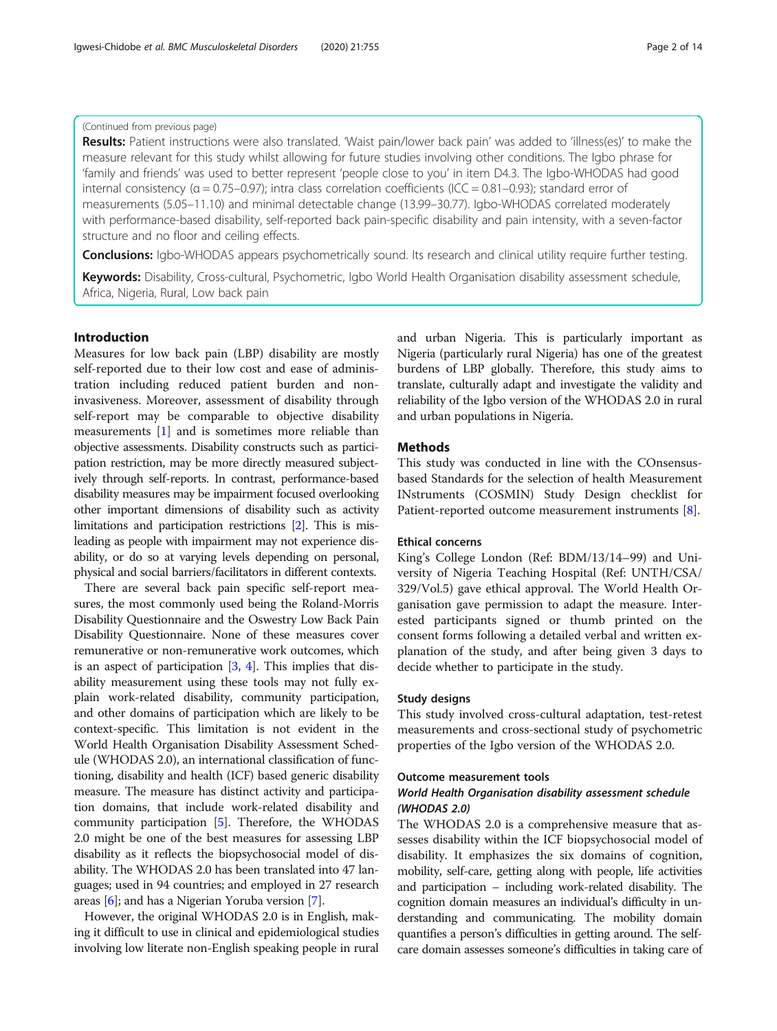# (Continued from previous page)

Results: Patient instructions were also translated. 'Waist pain/lower back pain' was added to 'illness(es)' to make the measure relevant for this study whilst allowing for future studies involving other conditions. The Igbo phrase for 'family and friends' was used to better represent 'people close to you' in item D4.3. The Igbo-WHODAS had good internal consistency ( $α = 0.75-0.97$ ); intra class correlation coefficients (ICC = 0.81-0.93); standard error of measurements (5.05–11.10) and minimal detectable change (13.99–30.77). Igbo-WHODAS correlated moderately with performance-based disability, self-reported back pain-specific disability and pain intensity, with a seven-factor structure and no floor and ceiling effects.

**Conclusions:** Igbo-WHODAS appears psychometrically sound. Its research and clinical utility require further testing.

Keywords: Disability, Cross-cultural, Psychometric, Igbo World Health Organisation disability assessment schedule, Africa, Nigeria, Rural, Low back pain

# Introduction

Measures for low back pain (LBP) disability are mostly self-reported due to their low cost and ease of administration including reduced patient burden and noninvasiveness. Moreover, assessment of disability through self-report may be comparable to objective disability measurements [\[1](#page-12-0)] and is sometimes more reliable than objective assessments. Disability constructs such as participation restriction, may be more directly measured subjectively through self-reports. In contrast, performance-based disability measures may be impairment focused overlooking other important dimensions of disability such as activity limitations and participation restrictions [\[2](#page-12-0)]. This is misleading as people with impairment may not experience disability, or do so at varying levels depending on personal, physical and social barriers/facilitators in different contexts.

There are several back pain specific self-report measures, the most commonly used being the Roland-Morris Disability Questionnaire and the Oswestry Low Back Pain Disability Questionnaire. None of these measures cover remunerative or non-remunerative work outcomes, which is an aspect of participation [[3,](#page-12-0) [4](#page-12-0)]. This implies that disability measurement using these tools may not fully explain work-related disability, community participation, and other domains of participation which are likely to be context-specific. This limitation is not evident in the World Health Organisation Disability Assessment Schedule (WHODAS 2.0), an international classification of functioning, disability and health (ICF) based generic disability measure. The measure has distinct activity and participation domains, that include work-related disability and community participation [[5\]](#page-12-0). Therefore, the WHODAS 2.0 might be one of the best measures for assessing LBP disability as it reflects the biopsychosocial model of disability. The WHODAS 2.0 has been translated into 47 languages; used in 94 countries; and employed in 27 research areas [[6](#page-12-0)]; and has a Nigerian Yoruba version [\[7\]](#page-12-0).

However, the original WHODAS 2.0 is in English, making it difficult to use in clinical and epidemiological studies involving low literate non-English speaking people in rural and urban Nigeria. This is particularly important as Nigeria (particularly rural Nigeria) has one of the greatest burdens of LBP globally. Therefore, this study aims to translate, culturally adapt and investigate the validity and reliability of the Igbo version of the WHODAS 2.0 in rural and urban populations in Nigeria.

# **Methods**

This study was conducted in line with the COnsensusbased Standards for the selection of health Measurement INstruments (COSMIN) Study Design checklist for Patient-reported outcome measurement instruments [[8\]](#page-12-0).

#### Ethical concerns

King's College London (Ref: BDM/13/14–99) and University of Nigeria Teaching Hospital (Ref: UNTH/CSA/ 329/Vol.5) gave ethical approval. The World Health Organisation gave permission to adapt the measure. Interested participants signed or thumb printed on the consent forms following a detailed verbal and written explanation of the study, and after being given 3 days to decide whether to participate in the study.

#### Study designs

This study involved cross-cultural adaptation, test-retest measurements and cross-sectional study of psychometric properties of the Igbo version of the WHODAS 2.0.

#### Outcome measurement tools

# World Health Organisation disability assessment schedule (WHODAS 2.0)

The WHODAS 2.0 is a comprehensive measure that assesses disability within the ICF biopsychosocial model of disability. It emphasizes the six domains of cognition, mobility, self-care, getting along with people, life activities and participation – including work-related disability. The cognition domain measures an individual's difficulty in understanding and communicating. The mobility domain quantifies a person's difficulties in getting around. The selfcare domain assesses someone's difficulties in taking care of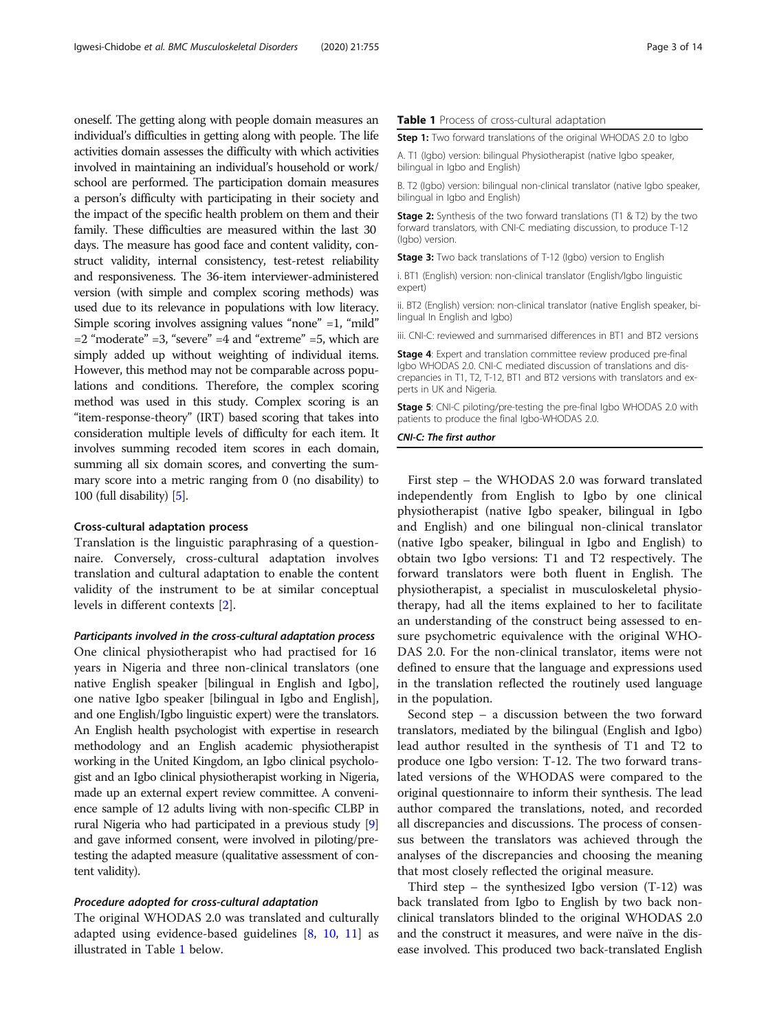oneself. The getting along with people domain measures an individual's difficulties in getting along with people. The life activities domain assesses the difficulty with which activities involved in maintaining an individual's household or work/ school are performed. The participation domain measures a person's difficulty with participating in their society and the impact of the specific health problem on them and their family. These difficulties are measured within the last 30 days. The measure has good face and content validity, construct validity, internal consistency, test-retest reliability and responsiveness. The 36-item interviewer-administered version (with simple and complex scoring methods) was used due to its relevance in populations with low literacy. Simple scoring involves assigning values "none" =1, "mild"  $=$  2 "moderate"  $=$  3, "severe"  $=$  4 and "extreme"  $=$  5, which are simply added up without weighting of individual items. However, this method may not be comparable across populations and conditions. Therefore, the complex scoring method was used in this study. Complex scoring is an "item-response-theory" (IRT) based scoring that takes into consideration multiple levels of difficulty for each item. It involves summing recoded item scores in each domain, summing all six domain scores, and converting the summary score into a metric ranging from 0 (no disability) to 100 (full disability) [[5](#page-12-0)].

#### Cross-cultural adaptation process

Translation is the linguistic paraphrasing of a questionnaire. Conversely, cross-cultural adaptation involves translation and cultural adaptation to enable the content validity of the instrument to be at similar conceptual levels in different contexts [[2\]](#page-12-0).

#### Participants involved in the cross-cultural adaptation process

One clinical physiotherapist who had practised for 16 years in Nigeria and three non-clinical translators (one native English speaker [bilingual in English and Igbo], one native Igbo speaker [bilingual in Igbo and English], and one English/Igbo linguistic expert) were the translators. An English health psychologist with expertise in research methodology and an English academic physiotherapist working in the United Kingdom, an Igbo clinical psychologist and an Igbo clinical physiotherapist working in Nigeria, made up an external expert review committee. A convenience sample of 12 adults living with non-specific CLBP in rural Nigeria who had participated in a previous study [[9](#page-12-0)] and gave informed consent, were involved in piloting/pretesting the adapted measure (qualitative assessment of content validity).

#### Procedure adopted for cross-cultural adaptation

The original WHODAS 2.0 was translated and culturally adapted using evidence-based guidelines [[8,](#page-12-0) [10](#page-12-0), [11](#page-12-0)] as illustrated in Table 1 below.

#### Table 1 Process of cross-cultural adaptation

**Step 1:** Two forward translations of the original WHODAS 2.0 to labo

A. T1 (Igbo) version: bilingual Physiotherapist (native Igbo speaker, bilingual in Igbo and English)

B. T2 (Igbo) version: bilingual non-clinical translator (native Igbo speaker, bilingual in Igbo and English)

**Stage 2:** Synthesis of the two forward translations (T1 & T2) by the two forward translators, with CNI-C mediating discussion, to produce T-12 (Igbo) version.

Stage 3: Two back translations of T-12 (Igbo) version to English

i. BT1 (English) version: non-clinical translator (English/Igbo linguistic expert)

ii. BT2 (English) version: non-clinical translator (native English speaker, bilingual In English and Igbo)

iii. CNI-C: reviewed and summarised differences in BT1 and BT2 versions

Stage 4: Expert and translation committee review produced pre-final Igbo WHODAS 2.0. CNI-C mediated discussion of translations and discrepancies in T1, T2, T-12, BT1 and BT2 versions with translators and experts in UK and Nigeria.

Stage 5: CNI-C piloting/pre-testing the pre-final Igbo WHODAS 2.0 with patients to produce the final Igbo-WHODAS 2.0.

CNI-C: The first author

First step – the WHODAS 2.0 was forward translated independently from English to Igbo by one clinical physiotherapist (native Igbo speaker, bilingual in Igbo and English) and one bilingual non-clinical translator (native Igbo speaker, bilingual in Igbo and English) to obtain two Igbo versions: T1 and T2 respectively. The forward translators were both fluent in English. The physiotherapist, a specialist in musculoskeletal physiotherapy, had all the items explained to her to facilitate an understanding of the construct being assessed to ensure psychometric equivalence with the original WHO-DAS 2.0. For the non-clinical translator, items were not defined to ensure that the language and expressions used in the translation reflected the routinely used language in the population.

Second step – a discussion between the two forward translators, mediated by the bilingual (English and Igbo) lead author resulted in the synthesis of T1 and T2 to produce one Igbo version: T-12. The two forward translated versions of the WHODAS were compared to the original questionnaire to inform their synthesis. The lead author compared the translations, noted, and recorded all discrepancies and discussions. The process of consensus between the translators was achieved through the analyses of the discrepancies and choosing the meaning that most closely reflected the original measure.

Third step – the synthesized Igbo version (T-12) was back translated from Igbo to English by two back nonclinical translators blinded to the original WHODAS 2.0 and the construct it measures, and were naïve in the disease involved. This produced two back-translated English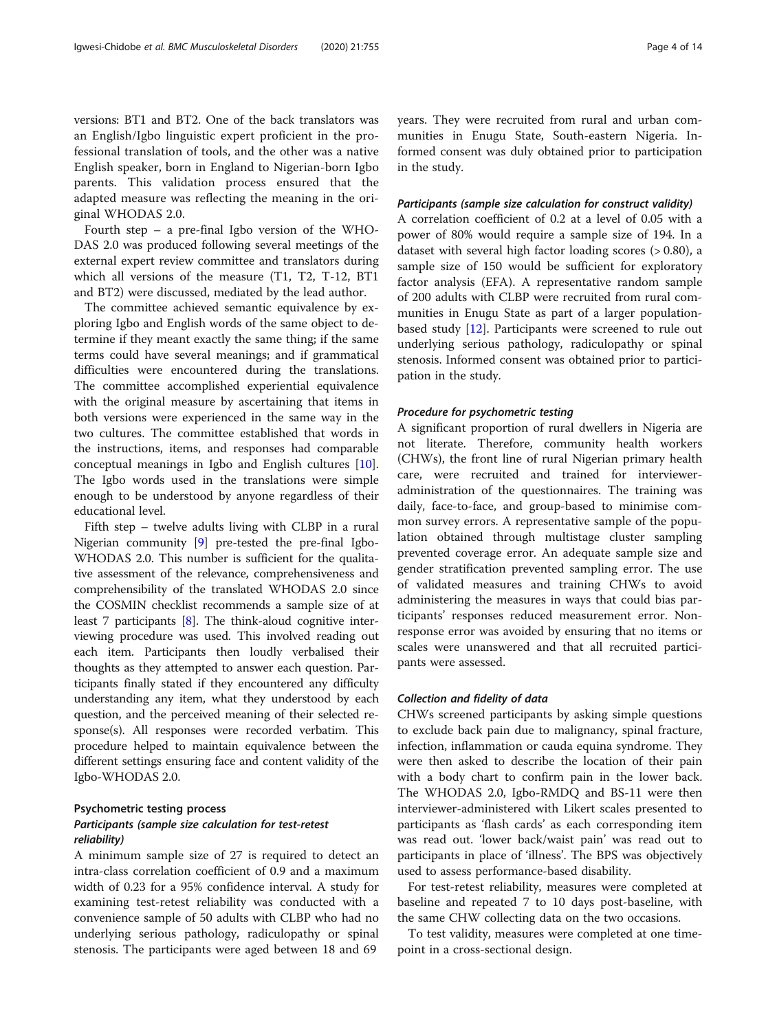versions: BT1 and BT2. One of the back translators was an English/Igbo linguistic expert proficient in the professional translation of tools, and the other was a native English speaker, born in England to Nigerian-born Igbo parents. This validation process ensured that the adapted measure was reflecting the meaning in the original WHODAS 2.0.

Fourth step – a pre-final Igbo version of the WHO-DAS 2.0 was produced following several meetings of the external expert review committee and translators during which all versions of the measure (T1, T2, T-12, BT1 and BT2) were discussed, mediated by the lead author.

The committee achieved semantic equivalence by exploring Igbo and English words of the same object to determine if they meant exactly the same thing; if the same terms could have several meanings; and if grammatical difficulties were encountered during the translations. The committee accomplished experiential equivalence with the original measure by ascertaining that items in both versions were experienced in the same way in the two cultures. The committee established that words in the instructions, items, and responses had comparable conceptual meanings in Igbo and English cultures [\[10](#page-12-0)]. The Igbo words used in the translations were simple enough to be understood by anyone regardless of their educational level.

Fifth step – twelve adults living with CLBP in a rural Nigerian community [[9](#page-12-0)] pre-tested the pre-final Igbo-WHODAS 2.0. This number is sufficient for the qualitative assessment of the relevance, comprehensiveness and comprehensibility of the translated WHODAS 2.0 since the COSMIN checklist recommends a sample size of at least 7 participants [\[8](#page-12-0)]. The think-aloud cognitive interviewing procedure was used. This involved reading out each item. Participants then loudly verbalised their thoughts as they attempted to answer each question. Participants finally stated if they encountered any difficulty understanding any item, what they understood by each question, and the perceived meaning of their selected response(s). All responses were recorded verbatim. This procedure helped to maintain equivalence between the different settings ensuring face and content validity of the Igbo-WHODAS 2.0.

# Psychometric testing process Participants (sample size calculation for test-retest reliability)

A minimum sample size of 27 is required to detect an intra-class correlation coefficient of 0.9 and a maximum width of 0.23 for a 95% confidence interval. A study for examining test-retest reliability was conducted with a convenience sample of 50 adults with CLBP who had no underlying serious pathology, radiculopathy or spinal stenosis. The participants were aged between 18 and 69

years. They were recruited from rural and urban communities in Enugu State, South-eastern Nigeria. Informed consent was duly obtained prior to participation in the study.

#### Participants (sample size calculation for construct validity)

A correlation coefficient of 0.2 at a level of 0.05 with a power of 80% would require a sample size of 194. In a dataset with several high factor loading scores (> 0.80), a sample size of 150 would be sufficient for exploratory factor analysis (EFA). A representative random sample of 200 adults with CLBP were recruited from rural communities in Enugu State as part of a larger populationbased study  $[12]$ . Participants were screened to rule out underlying serious pathology, radiculopathy or spinal stenosis. Informed consent was obtained prior to participation in the study.

#### Procedure for psychometric testing

A significant proportion of rural dwellers in Nigeria are not literate. Therefore, community health workers (CHWs), the front line of rural Nigerian primary health care, were recruited and trained for intervieweradministration of the questionnaires. The training was daily, face-to-face, and group-based to minimise common survey errors. A representative sample of the population obtained through multistage cluster sampling prevented coverage error. An adequate sample size and gender stratification prevented sampling error. The use of validated measures and training CHWs to avoid administering the measures in ways that could bias participants' responses reduced measurement error. Nonresponse error was avoided by ensuring that no items or scales were unanswered and that all recruited participants were assessed.

#### Collection and fidelity of data

CHWs screened participants by asking simple questions to exclude back pain due to malignancy, spinal fracture, infection, inflammation or cauda equina syndrome. They were then asked to describe the location of their pain with a body chart to confirm pain in the lower back. The WHODAS 2.0, Igbo-RMDQ and BS-11 were then interviewer-administered with Likert scales presented to participants as 'flash cards' as each corresponding item was read out. 'lower back/waist pain' was read out to participants in place of 'illness'. The BPS was objectively used to assess performance-based disability.

For test-retest reliability, measures were completed at baseline and repeated 7 to 10 days post-baseline, with the same CHW collecting data on the two occasions.

To test validity, measures were completed at one timepoint in a cross-sectional design.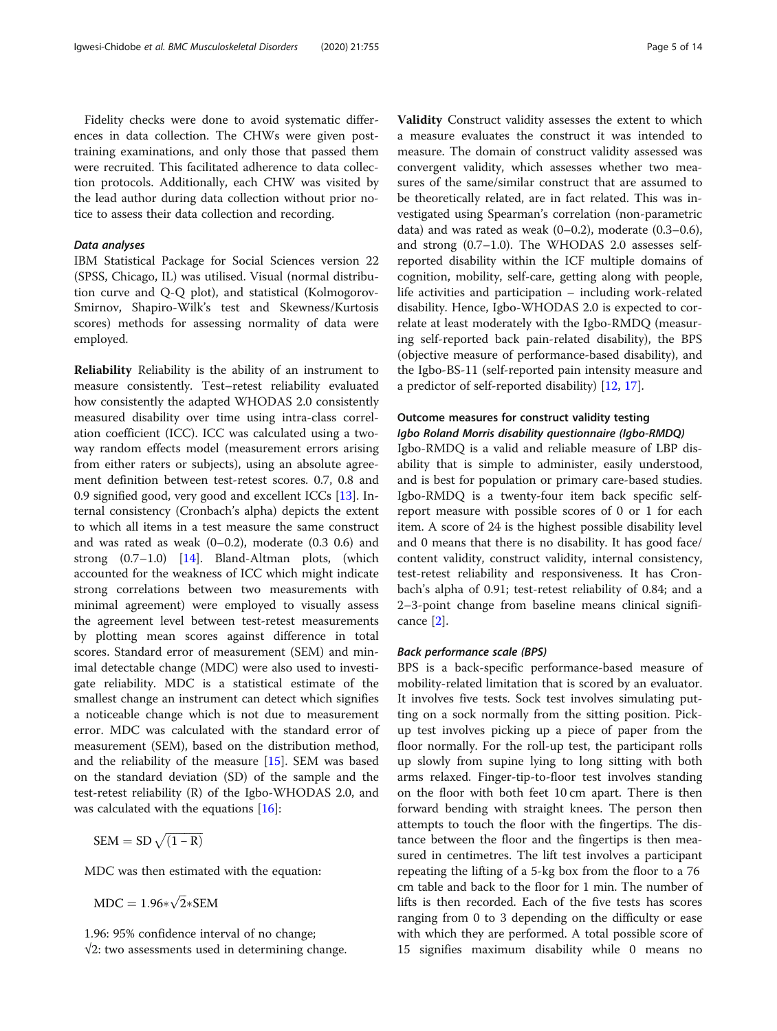Fidelity checks were done to avoid systematic differences in data collection. The CHWs were given posttraining examinations, and only those that passed them were recruited. This facilitated adherence to data collection protocols. Additionally, each CHW was visited by the lead author during data collection without prior notice to assess their data collection and recording.

#### Data analyses

IBM Statistical Package for Social Sciences version 22 (SPSS, Chicago, IL) was utilised. Visual (normal distribution curve and Q-Q plot), and statistical (Kolmogorov-Smirnov, Shapiro-Wilk's test and Skewness/Kurtosis scores) methods for assessing normality of data were employed.

Reliability Reliability is the ability of an instrument to measure consistently. Test–retest reliability evaluated how consistently the adapted WHODAS 2.0 consistently measured disability over time using intra-class correlation coefficient (ICC). ICC was calculated using a twoway random effects model (measurement errors arising from either raters or subjects), using an absolute agreement definition between test-retest scores. 0.7, 0.8 and 0.9 signified good, very good and excellent ICCs [\[13](#page-12-0)]. Internal consistency (Cronbach's alpha) depicts the extent to which all items in a test measure the same construct and was rated as weak (0–0.2), moderate (0.3 0.6) and strong  $(0.7-1.0)$  [\[14](#page-12-0)]. Bland-Altman plots, (which accounted for the weakness of ICC which might indicate strong correlations between two measurements with minimal agreement) were employed to visually assess the agreement level between test-retest measurements by plotting mean scores against difference in total scores. Standard error of measurement (SEM) and minimal detectable change (MDC) were also used to investigate reliability. MDC is a statistical estimate of the smallest change an instrument can detect which signifies a noticeable change which is not due to measurement error. MDC was calculated with the standard error of measurement (SEM), based on the distribution method, and the reliability of the measure [\[15](#page-12-0)]. SEM was based on the standard deviation (SD) of the sample and the test-retest reliability (R) of the Igbo-WHODAS 2.0, and was calculated with the equations [[16](#page-12-0)]:

 $SEM = SD \sqrt{(1 - R)}$ 

MDC was then estimated with the equation:

 $MDC = 1.96*\sqrt{2*SEM}$ 

1.96: 95% confidence interval of no change; √2: two assessments used in determining change.

Validity Construct validity assesses the extent to which a measure evaluates the construct it was intended to measure. The domain of construct validity assessed was convergent validity, which assesses whether two measures of the same/similar construct that are assumed to be theoretically related, are in fact related. This was investigated using Spearman's correlation (non-parametric data) and was rated as weak  $(0-0.2)$ , moderate  $(0.3-0.6)$ , and strong (0.7–1.0). The WHODAS 2.0 assesses selfreported disability within the ICF multiple domains of cognition, mobility, self-care, getting along with people, life activities and participation – including work-related disability. Hence, Igbo-WHODAS 2.0 is expected to correlate at least moderately with the Igbo-RMDQ (measuring self-reported back pain-related disability), the BPS (objective measure of performance-based disability), and the Igbo-BS-11 (self-reported pain intensity measure and a predictor of self-reported disability) [[12,](#page-12-0) [17\]](#page-12-0).

# Outcome measures for construct validity testing Igbo Roland Morris disability questionnaire (Igbo-RMDQ)

Igbo-RMDQ is a valid and reliable measure of LBP disability that is simple to administer, easily understood, and is best for population or primary care-based studies. Igbo-RMDQ is a twenty-four item back specific selfreport measure with possible scores of 0 or 1 for each item. A score of 24 is the highest possible disability level and 0 means that there is no disability. It has good face/ content validity, construct validity, internal consistency, test-retest reliability and responsiveness. It has Cronbach's alpha of 0.91; test-retest reliability of 0.84; and a 2–3-point change from baseline means clinical significance [[2\]](#page-12-0).

# Back performance scale (BPS)

BPS is a back-specific performance-based measure of mobility-related limitation that is scored by an evaluator. It involves five tests. Sock test involves simulating putting on a sock normally from the sitting position. Pickup test involves picking up a piece of paper from the floor normally. For the roll-up test, the participant rolls up slowly from supine lying to long sitting with both arms relaxed. Finger-tip-to-floor test involves standing on the floor with both feet 10 cm apart. There is then forward bending with straight knees. The person then attempts to touch the floor with the fingertips. The distance between the floor and the fingertips is then measured in centimetres. The lift test involves a participant repeating the lifting of a 5-kg box from the floor to a 76 cm table and back to the floor for 1 min. The number of lifts is then recorded. Each of the five tests has scores ranging from 0 to 3 depending on the difficulty or ease with which they are performed. A total possible score of 15 signifies maximum disability while 0 means no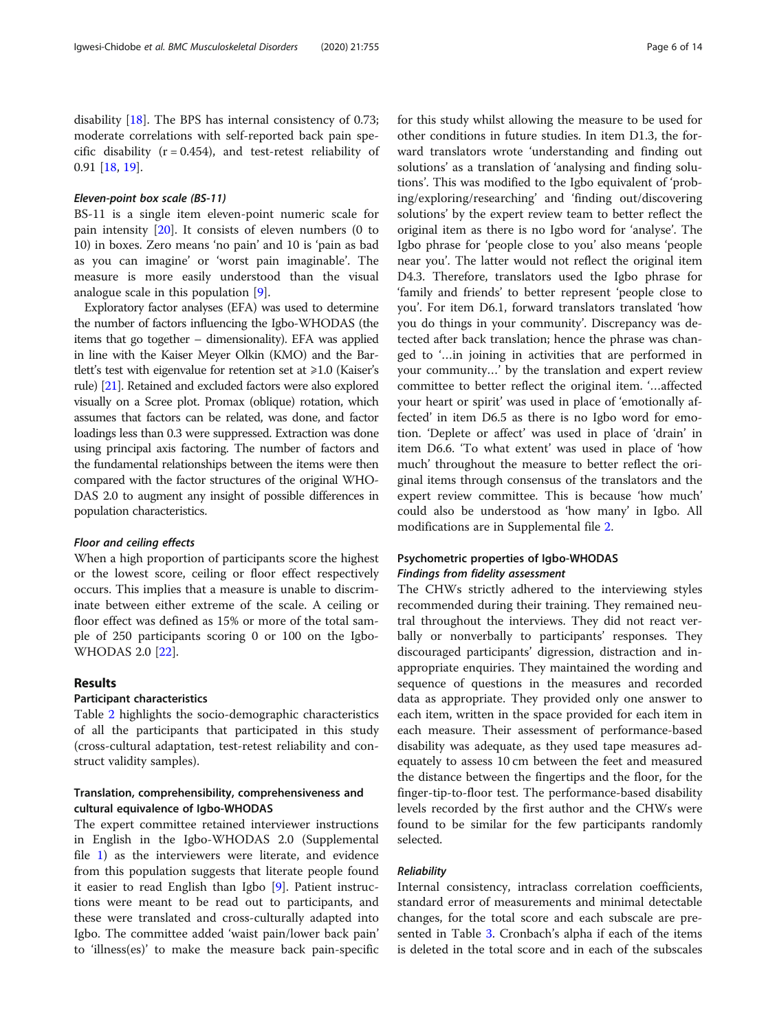disability [[18](#page-12-0)]. The BPS has internal consistency of 0.73; moderate correlations with self-reported back pain specific disability  $(r = 0.454)$ , and test-retest reliability of 0.91 [[18,](#page-12-0) [19](#page-12-0)].

#### Eleven-point box scale (BS-11)

BS-11 is a single item eleven-point numeric scale for pain intensity [[20\]](#page-12-0). It consists of eleven numbers (0 to 10) in boxes. Zero means 'no pain' and 10 is 'pain as bad as you can imagine' or 'worst pain imaginable'. The measure is more easily understood than the visual analogue scale in this population [\[9](#page-12-0)].

Exploratory factor analyses (EFA) was used to determine the number of factors influencing the Igbo-WHODAS (the items that go together – dimensionality). EFA was applied in line with the Kaiser Meyer Olkin (KMO) and the Bartlett's test with eigenvalue for retention set at  $\geq 1.0$  (Kaiser's rule) [[21\]](#page-12-0). Retained and excluded factors were also explored visually on a Scree plot. Promax (oblique) rotation, which assumes that factors can be related, was done, and factor loadings less than 0.3 were suppressed. Extraction was done using principal axis factoring. The number of factors and the fundamental relationships between the items were then compared with the factor structures of the original WHO-DAS 2.0 to augment any insight of possible differences in population characteristics.

#### Floor and ceiling effects

When a high proportion of participants score the highest or the lowest score, ceiling or floor effect respectively occurs. This implies that a measure is unable to discriminate between either extreme of the scale. A ceiling or floor effect was defined as 15% or more of the total sample of 250 participants scoring 0 or 100 on the Igbo-WHODAS 2.0 [[22\]](#page-12-0).

#### Results

# Participant characteristics

Table [2](#page-6-0) highlights the socio-demographic characteristics of all the participants that participated in this study (cross-cultural adaptation, test-retest reliability and construct validity samples).

# Translation, comprehensibility, comprehensiveness and cultural equivalence of Igbo-WHODAS

The expert committee retained interviewer instructions in English in the Igbo-WHODAS 2.0 (Supplemental file [1](#page-11-0)) as the interviewers were literate, and evidence from this population suggests that literate people found it easier to read English than Igbo [\[9](#page-12-0)]. Patient instructions were meant to be read out to participants, and these were translated and cross-culturally adapted into Igbo. The committee added 'waist pain/lower back pain' to 'illness(es)' to make the measure back pain-specific for this study whilst allowing the measure to be used for other conditions in future studies. In item D1.3, the forward translators wrote 'understanding and finding out solutions' as a translation of 'analysing and finding solutions'. This was modified to the Igbo equivalent of 'probing/exploring/researching' and 'finding out/discovering solutions' by the expert review team to better reflect the original item as there is no Igbo word for 'analyse'. The Igbo phrase for 'people close to you' also means 'people near you'. The latter would not reflect the original item D4.3. Therefore, translators used the Igbo phrase for 'family and friends' to better represent 'people close to you'. For item D6.1, forward translators translated 'how you do things in your community'. Discrepancy was detected after back translation; hence the phrase was changed to '…in joining in activities that are performed in your community…' by the translation and expert review committee to better reflect the original item. '…affected your heart or spirit' was used in place of 'emotionally affected' in item D6.5 as there is no Igbo word for emotion. 'Deplete or affect' was used in place of 'drain' in item D6.6. 'To what extent' was used in place of 'how much' throughout the measure to better reflect the original items through consensus of the translators and the expert review committee. This is because 'how much' could also be understood as 'how many' in Igbo. All modifications are in Supplemental file [2](#page-11-0).

# Psychometric properties of Igbo-WHODAS Findings from fidelity assessment

The CHWs strictly adhered to the interviewing styles recommended during their training. They remained neutral throughout the interviews. They did not react verbally or nonverbally to participants' responses. They discouraged participants' digression, distraction and inappropriate enquiries. They maintained the wording and sequence of questions in the measures and recorded data as appropriate. They provided only one answer to each item, written in the space provided for each item in each measure. Their assessment of performance-based disability was adequate, as they used tape measures adequately to assess 10 cm between the feet and measured the distance between the fingertips and the floor, for the finger-tip-to-floor test. The performance-based disability levels recorded by the first author and the CHWs were found to be similar for the few participants randomly selected.

# Reliability

Internal consistency, intraclass correlation coefficients, standard error of measurements and minimal detectable changes, for the total score and each subscale are presented in Table [3](#page-7-0). Cronbach's alpha if each of the items is deleted in the total score and in each of the subscales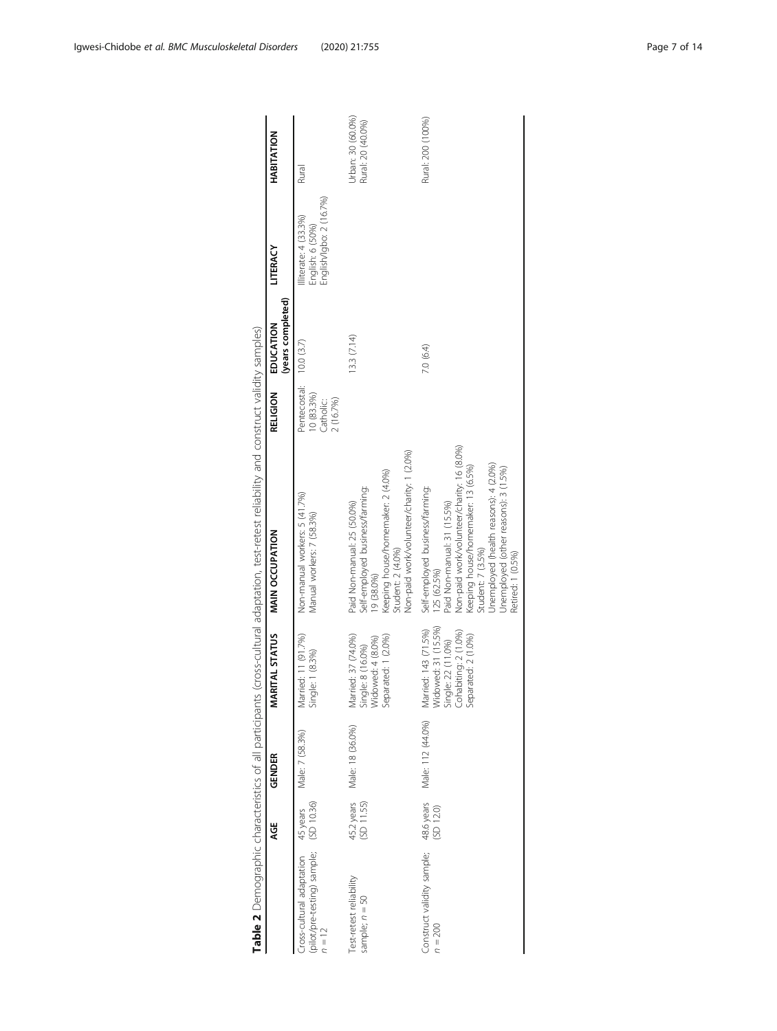<span id="page-6-0"></span>

|                                                                               | AGE                      | GENDER            | MARITAL STATUS                                                                                                   | <b>MAIN OCCUPATION</b>                                                                                                                                                                                                                                                                       | RELIGION                                                        | (years completed)<br>EDUCATION | LITERACY                                                             | HABITATION                             |
|-------------------------------------------------------------------------------|--------------------------|-------------------|------------------------------------------------------------------------------------------------------------------|----------------------------------------------------------------------------------------------------------------------------------------------------------------------------------------------------------------------------------------------------------------------------------------------|-----------------------------------------------------------------|--------------------------------|----------------------------------------------------------------------|----------------------------------------|
| Cross-cultural adaptation 45 years<br>(pilot/pre-testing) sample;<br>$n = 12$ | (5D 10.36)               | Male: 7 (58.3%)   | Married: 11 (91.7%)<br>Single: 1 (8.3%)                                                                          | Non-manual workers: 5 (41.7%)<br>Manual workers: 7 (58.3%)                                                                                                                                                                                                                                   | Pentecostal: 10.0 (3.7)<br>10 (83.3%)<br>2 (16.7%)<br>Catholic: |                                | English/Igbo: 2 (16.7%)<br>Illiterate: 4 (33.3%)<br>English: 6 (50%) | Rural                                  |
| Test-retest reliability<br>sample; $n = 50$                                   | 45.2 years<br>(SD 11.55) | Male: 18 (36.0%)  | Married: 37 (74.0%)<br>Single: 8 (16.0%)<br>Widowed: 4 (8.0%)<br>Separated: 1 (2.0%)                             | Non-paid work/volunteer/charity: 1 (2.0%)<br>Keeping house/homemaker. 2 (4.0%)<br>Self-employed business/farming:<br>Paid Non-manual: 25 (50.0%)<br>Student: 2 (4.0%)<br>19 (38.0%)                                                                                                          |                                                                 | 13.3 (7.14)                    |                                                                      | Urban: 30 (60.0%)<br>Rural: 20 (40.0%) |
| Construct validity sample; 48.6 years<br>$n = 200$                            | (SD 12.0)                | Male: 112 (44.0%) | Married: 143 (71.5%)<br>Widowed: 31 (15.5%)<br>Single: 22 (11.0%)<br>Cohabiting: 2 (1.0%)<br>Separated: 2 (1.0%) | Non-paid work/volunteer/charity: 16 (8.0%)<br>Unemployed (health reasons): 4 (2.0%)<br>Keeping house/homemaker: 13 (6.5%)<br>Unemployed (other reasons): 3 (1.5%)<br>Self-employed business/farming:<br>Paid Non-manual: 31 (15.5%)<br>Student: 7 (3.5%)<br>Retired: 1 (0.5%)<br>125 (62.5%) |                                                                 | 7.0 (6.4)                      |                                                                      | Rural: 200 (100%)                      |

Table 2 Demographic characteristics of all participants (cross-cultural adaptation, test-retest reliability and construct validity samples) lidit.  $\frac{1}{2}$ ٦  $\frac{1}{4}$ Ï  $\overline{a}$ l, Ė  $\tilde{C}$  $\ddot{\phantom{0}}$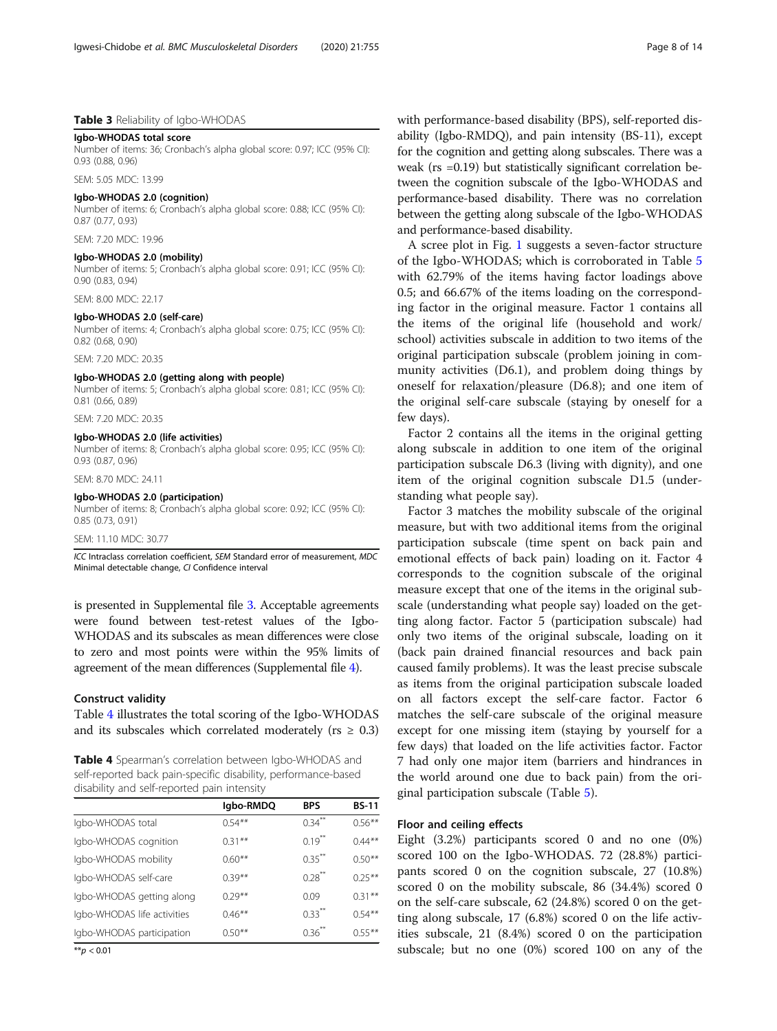# <span id="page-7-0"></span>Table 3 Reliability of Igbo-WHODAS

# Igbo-WHODAS total score

Number of items: 36; Cronbach's alpha global score: 0.97; ICC (95% CI): 0.93 (0.88, 0.96)

SEM: 5.05 MDC: 13.99

#### Igbo-WHODAS 2.0 (cognition)

Number of items: 6; Cronbach's alpha global score: 0.88; ICC (95% CI): 0.87 (0.77, 0.93)

SEM: 7.20 MDC: 19.96

#### Igbo-WHODAS 2.0 (mobility)

Number of items: 5; Cronbach's alpha global score: 0.91; ICC (95% CI): 0.90 (0.83, 0.94)

SEM: 8.00 MDC: 22.17

#### Igbo-WHODAS 2.0 (self-care)

Number of items: 4; Cronbach's alpha global score: 0.75; ICC (95% CI): 0.82 (0.68, 0.90)

SEM: 7.20 MDC: 20.35

#### Igbo-WHODAS 2.0 (getting along with people)

Number of items: 5; Cronbach's alpha global score: 0.81; ICC (95% CI): 0.81 (0.66, 0.89)

SEM: 7.20 MDC: 20.35

#### Igbo-WHODAS 2.0 (life activities)

Number of items: 8; Cronbach's alpha global score: 0.95; ICC (95% CI): 0.93 (0.87, 0.96)

SEM: 8.70 MDC: 24.11

#### Igbo-WHODAS 2.0 (participation)

Number of items: 8; Cronbach's alpha global score: 0.92; ICC (95% CI): 0.85 (0.73, 0.91)

#### SEM: 11.10 MDC: 30.77

ICC Intraclass correlation coefficient, SEM Standard error of measurement, MDC Minimal detectable change, CI Confidence interval

is presented in Supplemental file [3](#page-11-0). Acceptable agreements were found between test-retest values of the Igbo-WHODAS and its subscales as mean differences were close to zero and most points were within the 95% limits of agreement of the mean differences (Supplemental file [4\)](#page-11-0).

#### Construct validity

Table 4 illustrates the total scoring of the Igbo-WHODAS and its subscales which correlated moderately ( $rs \geq 0.3$ )

Table 4 Spearman's correlation between Igbo-WHODAS and self-reported back pain-specific disability, performance-based disability and self-reported pain intensity

|                             | Igbo-RMDQ | <b>BPS</b>           | <b>BS-11</b> |
|-----------------------------|-----------|----------------------|--------------|
| Igbo-WHODAS total           | $0.54***$ | $0.34$ <sup>**</sup> | $0.56***$    |
| Igbo-WHODAS cognition       | $0.31***$ | $0.19$ <sup>**</sup> | $0.44***$    |
| Igbo-WHODAS mobility        | $0.60**$  | $0.35$ <sup>**</sup> | $0.50**$     |
| Igbo-WHODAS self-care       | $0.39***$ | $0.28$ <sup>**</sup> | $0.25***$    |
| Igbo-WHODAS getting along   | $0.29***$ | 0.09                 | $0.31***$    |
| Igbo-WHODAS life activities | $0.46***$ | $0.33$ <sup>**</sup> | $0.54***$    |
| Igbo-WHODAS participation   | $0.50**$  | $0.36$ <sup>**</sup> | $0.55***$    |

 $**p < 0.01$ 

with performance-based disability (BPS), self-reported disability (Igbo-RMDQ), and pain intensity (BS-11), except for the cognition and getting along subscales. There was a weak (rs =0.19) but statistically significant correlation between the cognition subscale of the Igbo-WHODAS and performance-based disability. There was no correlation between the getting along subscale of the Igbo-WHODAS and performance-based disability.

A scree plot in Fig. [1](#page-8-0) suggests a seven-factor structure of the Igbo-WHODAS; which is corroborated in Table [5](#page-9-0) with 62.79% of the items having factor loadings above 0.5; and 66.67% of the items loading on the corresponding factor in the original measure. Factor 1 contains all the items of the original life (household and work/ school) activities subscale in addition to two items of the original participation subscale (problem joining in community activities (D6.1), and problem doing things by oneself for relaxation/pleasure (D6.8); and one item of the original self-care subscale (staying by oneself for a few days).

Factor 2 contains all the items in the original getting along subscale in addition to one item of the original participation subscale D6.3 (living with dignity), and one item of the original cognition subscale D1.5 (understanding what people say).

Factor 3 matches the mobility subscale of the original measure, but with two additional items from the original participation subscale (time spent on back pain and emotional effects of back pain) loading on it. Factor 4 corresponds to the cognition subscale of the original measure except that one of the items in the original subscale (understanding what people say) loaded on the getting along factor. Factor 5 (participation subscale) had only two items of the original subscale, loading on it (back pain drained financial resources and back pain caused family problems). It was the least precise subscale as items from the original participation subscale loaded on all factors except the self-care factor. Factor 6 matches the self-care subscale of the original measure except for one missing item (staying by yourself for a few days) that loaded on the life activities factor. Factor 7 had only one major item (barriers and hindrances in the world around one due to back pain) from the original participation subscale (Table [5\)](#page-9-0).

#### Floor and ceiling effects

Eight (3.2%) participants scored 0 and no one (0%) scored 100 on the Igbo-WHODAS. 72 (28.8%) participants scored 0 on the cognition subscale, 27 (10.8%) scored 0 on the mobility subscale, 86 (34.4%) scored 0 on the self-care subscale, 62 (24.8%) scored 0 on the getting along subscale, 17 (6.8%) scored 0 on the life activities subscale, 21 (8.4%) scored 0 on the participation subscale; but no one (0%) scored 100 on any of the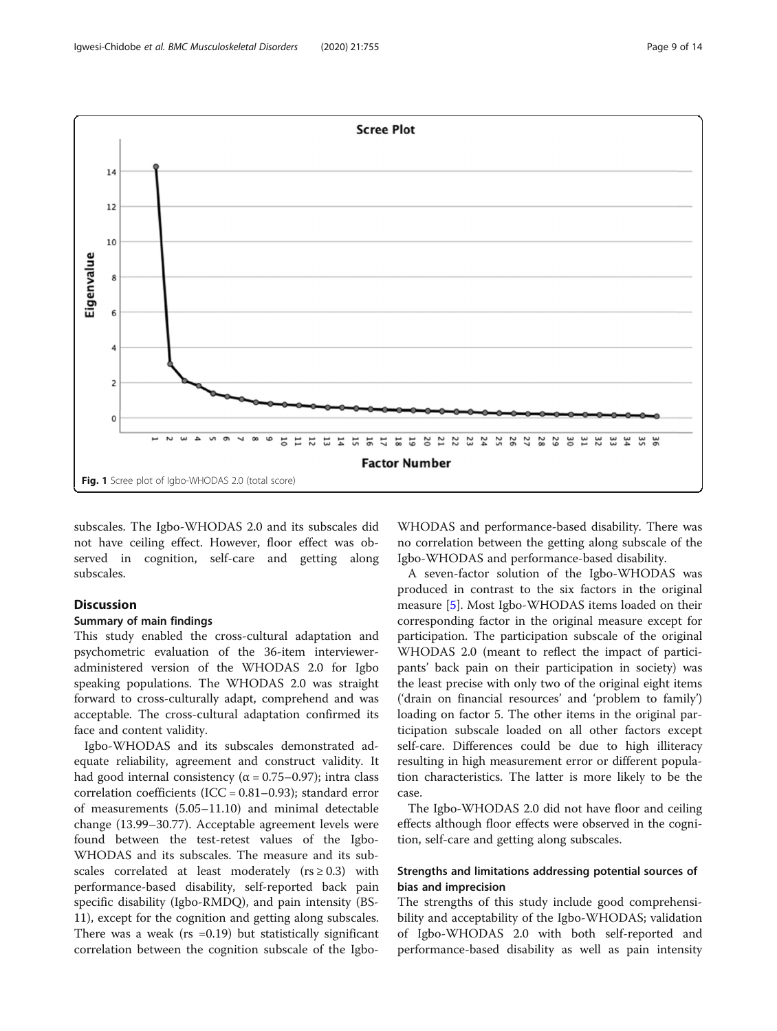<span id="page-8-0"></span>

subscales. The Igbo-WHODAS 2.0 and its subscales did not have ceiling effect. However, floor effect was observed in cognition, self-care and getting along subscales.

# Discussion

#### Summary of main findings

This study enabled the cross-cultural adaptation and psychometric evaluation of the 36-item intervieweradministered version of the WHODAS 2.0 for Igbo speaking populations. The WHODAS 2.0 was straight forward to cross-culturally adapt, comprehend and was acceptable. The cross-cultural adaptation confirmed its face and content validity.

Igbo-WHODAS and its subscales demonstrated adequate reliability, agreement and construct validity. It had good internal consistency ( $α = 0.75-0.97$ ); intra class correlation coefficients (ICC = 0.81–0.93); standard error of measurements (5.05–11.10) and minimal detectable change (13.99–30.77). Acceptable agreement levels were found between the test-retest values of the Igbo-WHODAS and its subscales. The measure and its subscales correlated at least moderately ( $rs \ge 0.3$ ) with performance-based disability, self-reported back pain specific disability (Igbo-RMDQ), and pain intensity (BS-11), except for the cognition and getting along subscales. There was a weak ( $rs = 0.19$ ) but statistically significant correlation between the cognition subscale of the IgboWHODAS and performance-based disability. There was no correlation between the getting along subscale of the Igbo-WHODAS and performance-based disability.

A seven-factor solution of the Igbo-WHODAS was produced in contrast to the six factors in the original measure [[5\]](#page-12-0). Most Igbo-WHODAS items loaded on their corresponding factor in the original measure except for participation. The participation subscale of the original WHODAS 2.0 (meant to reflect the impact of participants' back pain on their participation in society) was the least precise with only two of the original eight items ('drain on financial resources' and 'problem to family') loading on factor 5. The other items in the original participation subscale loaded on all other factors except self-care. Differences could be due to high illiteracy resulting in high measurement error or different population characteristics. The latter is more likely to be the case.

The Igbo-WHODAS 2.0 did not have floor and ceiling effects although floor effects were observed in the cognition, self-care and getting along subscales.

# Strengths and limitations addressing potential sources of bias and imprecision

The strengths of this study include good comprehensibility and acceptability of the Igbo-WHODAS; validation of Igbo-WHODAS 2.0 with both self-reported and performance-based disability as well as pain intensity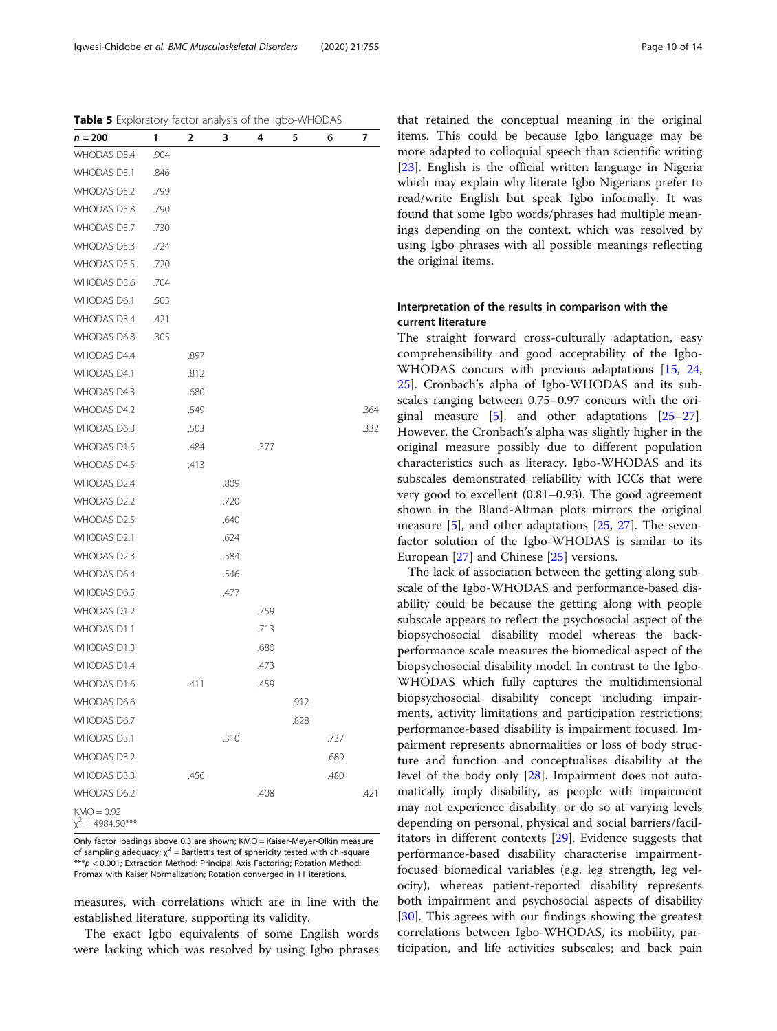<span id="page-9-0"></span>Table 5 Exploratory factor analysis of the Igbo-WHODAS

| $n = 200$                          | 1    | 2    | 3    | 4    | 5    | 6    | 7    |
|------------------------------------|------|------|------|------|------|------|------|
| <b>WHODAS D5.4</b>                 | .904 |      |      |      |      |      |      |
| <b>WHODAS D5.1</b>                 | .846 |      |      |      |      |      |      |
| WHODAS D5.2                        | .799 |      |      |      |      |      |      |
| WHODAS D5.8                        | .790 |      |      |      |      |      |      |
| WHODAS D5.7                        | .730 |      |      |      |      |      |      |
| WHODAS D5.3                        | .724 |      |      |      |      |      |      |
| <b>WHODAS D5.5</b>                 | .720 |      |      |      |      |      |      |
| WHODAS D5.6                        | .704 |      |      |      |      |      |      |
| WHODAS D6.1                        | .503 |      |      |      |      |      |      |
| <b>WHODAS D3.4</b>                 | .421 |      |      |      |      |      |      |
| WHODAS D6.8                        | .305 |      |      |      |      |      |      |
| WHODAS D4.4                        |      | .897 |      |      |      |      |      |
| WHODAS D4.1                        |      | .812 |      |      |      |      |      |
| WHODAS D4.3                        |      | .680 |      |      |      |      |      |
| WHODAS D4.2                        |      | .549 |      |      |      |      | .364 |
| WHODAS D6.3                        |      | .503 |      |      |      |      | .332 |
| <b>WHODAS D1.5</b>                 |      | .484 |      | .377 |      |      |      |
| <b>WHODAS D4.5</b>                 |      | .413 |      |      |      |      |      |
| WHODAS D2.4                        |      |      | .809 |      |      |      |      |
| WHODAS D2.2                        |      |      | .720 |      |      |      |      |
| WHODAS D2.5                        |      |      | .640 |      |      |      |      |
| WHODAS D2.1                        |      |      | .624 |      |      |      |      |
| WHODAS D2.3                        |      |      | .584 |      |      |      |      |
| WHODAS D6.4                        |      |      | .546 |      |      |      |      |
| <b>WHODAS D6.5</b>                 |      |      | .477 |      |      |      |      |
| WHODAS D1.2                        |      |      |      | .759 |      |      |      |
| <b>WHODAS D1.1</b>                 |      |      |      | .713 |      |      |      |
| WHODAS D1.3                        |      |      |      | .680 |      |      |      |
| WHODAS D1.4                        |      |      |      | .473 |      |      |      |
| WHODAS D1.6                        |      | .411 |      | .459 |      |      |      |
| WHODAS D6.6                        |      |      |      |      | .912 |      |      |
| WHODAS D6.7                        |      |      |      |      | .828 |      |      |
| WHODAS D3.1                        |      |      | .310 |      |      | .737 |      |
| WHODAS D3.2                        |      |      |      |      |      | .689 |      |
| WHODAS D3.3                        |      | .456 |      |      |      | .480 |      |
| WHODAS D6.2                        |      |      |      | .408 |      |      | .421 |
| $KMO = 0.92$<br>$x^2 = 4984.50***$ |      |      |      |      |      |      |      |

Only factor loadings above 0.3 are shown; KMO = Kaiser-Meyer-Olkin measure of sampling adequacy;  $\chi^2$  = Bartlett's test of sphericity tested with chi-square \*\*\*p < 0.001; Extraction Method: Principal Axis Factoring; Rotation Method: Promax with Kaiser Normalization; Rotation converged in 11 iterations.

measures, with correlations which are in line with the established literature, supporting its validity.

The exact Igbo equivalents of some English words were lacking which was resolved by using Igbo phrases

that retained the conceptual meaning in the original items. This could be because Igbo language may be more adapted to colloquial speech than scientific writing [[23\]](#page-12-0). English is the official written language in Nigeria which may explain why literate Igbo Nigerians prefer to read/write English but speak Igbo informally. It was found that some Igbo words/phrases had multiple meanings depending on the context, which was resolved by using Igbo phrases with all possible meanings reflecting the original items.

# Interpretation of the results in comparison with the current literature

The straight forward cross-culturally adaptation, easy comprehensibility and good acceptability of the Igbo-WHODAS concurs with previous adaptations [\[15](#page-12-0), [24](#page-12-0), [25\]](#page-12-0). Cronbach's alpha of Igbo-WHODAS and its subscales ranging between 0.75–0.97 concurs with the original measure  $[5]$ , and other adaptations  $[25-27]$  $[25-27]$  $[25-27]$  $[25-27]$  $[25-27]$ . However, the Cronbach's alpha was slightly higher in the original measure possibly due to different population characteristics such as literacy. Igbo-WHODAS and its subscales demonstrated reliability with ICCs that were very good to excellent (0.81–0.93). The good agreement shown in the Bland-Altman plots mirrors the original measure [[5\]](#page-12-0), and other adaptations [[25,](#page-12-0) [27](#page-12-0)]. The sevenfactor solution of the Igbo-WHODAS is similar to its European [[27\]](#page-12-0) and Chinese [\[25](#page-12-0)] versions.

The lack of association between the getting along subscale of the Igbo-WHODAS and performance-based disability could be because the getting along with people subscale appears to reflect the psychosocial aspect of the biopsychosocial disability model whereas the backperformance scale measures the biomedical aspect of the biopsychosocial disability model. In contrast to the Igbo-WHODAS which fully captures the multidimensional biopsychosocial disability concept including impairments, activity limitations and participation restrictions; performance-based disability is impairment focused. Impairment represents abnormalities or loss of body structure and function and conceptualises disability at the level of the body only [[28\]](#page-12-0). Impairment does not automatically imply disability, as people with impairment may not experience disability, or do so at varying levels depending on personal, physical and social barriers/facilitators in different contexts [[29\]](#page-12-0). Evidence suggests that performance-based disability characterise impairmentfocused biomedical variables (e.g. leg strength, leg velocity), whereas patient-reported disability represents both impairment and psychosocial aspects of disability [[30\]](#page-12-0). This agrees with our findings showing the greatest correlations between Igbo-WHODAS, its mobility, participation, and life activities subscales; and back pain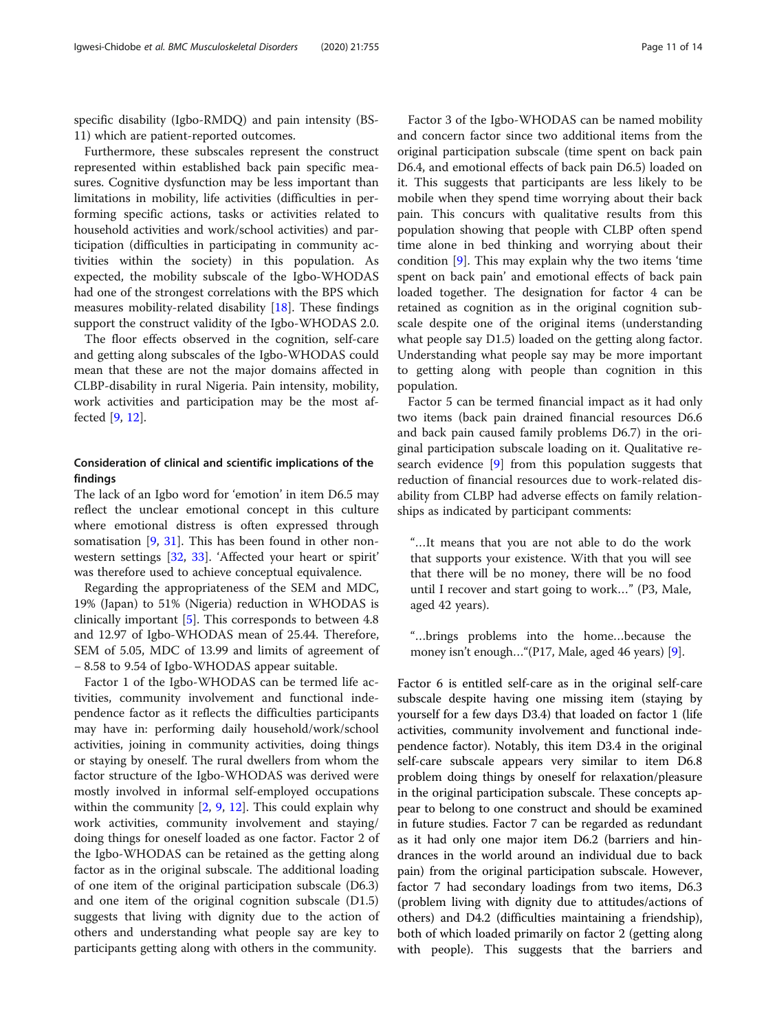specific disability (Igbo-RMDQ) and pain intensity (BS-11) which are patient-reported outcomes.

Furthermore, these subscales represent the construct represented within established back pain specific measures. Cognitive dysfunction may be less important than limitations in mobility, life activities (difficulties in performing specific actions, tasks or activities related to household activities and work/school activities) and participation (difficulties in participating in community activities within the society) in this population. As expected, the mobility subscale of the Igbo-WHODAS had one of the strongest correlations with the BPS which measures mobility-related disability [[18\]](#page-12-0). These findings support the construct validity of the Igbo-WHODAS 2.0.

The floor effects observed in the cognition, self-care and getting along subscales of the Igbo-WHODAS could mean that these are not the major domains affected in CLBP-disability in rural Nigeria. Pain intensity, mobility, work activities and participation may be the most affected [\[9](#page-12-0), [12](#page-12-0)].

# Consideration of clinical and scientific implications of the findings

The lack of an Igbo word for 'emotion' in item D6.5 may reflect the unclear emotional concept in this culture where emotional distress is often expressed through somatisation [\[9](#page-12-0), [31\]](#page-12-0). This has been found in other nonwestern settings [[32,](#page-12-0) [33\]](#page-12-0). 'Affected your heart or spirit' was therefore used to achieve conceptual equivalence.

Regarding the appropriateness of the SEM and MDC, 19% (Japan) to 51% (Nigeria) reduction in WHODAS is clinically important [[5\]](#page-12-0). This corresponds to between 4.8 and 12.97 of Igbo-WHODAS mean of 25.44. Therefore, SEM of 5.05, MDC of 13.99 and limits of agreement of − 8.58 to 9.54 of Igbo-WHODAS appear suitable.

Factor 1 of the Igbo-WHODAS can be termed life activities, community involvement and functional independence factor as it reflects the difficulties participants may have in: performing daily household/work/school activities, joining in community activities, doing things or staying by oneself. The rural dwellers from whom the factor structure of the Igbo-WHODAS was derived were mostly involved in informal self-employed occupations within the community  $[2, 9, 12]$  $[2, 9, 12]$  $[2, 9, 12]$  $[2, 9, 12]$  $[2, 9, 12]$  $[2, 9, 12]$ . This could explain why work activities, community involvement and staying/ doing things for oneself loaded as one factor. Factor 2 of the Igbo-WHODAS can be retained as the getting along factor as in the original subscale. The additional loading of one item of the original participation subscale (D6.3) and one item of the original cognition subscale (D1.5) suggests that living with dignity due to the action of others and understanding what people say are key to participants getting along with others in the community.

Factor 3 of the Igbo-WHODAS can be named mobility and concern factor since two additional items from the original participation subscale (time spent on back pain D6.4, and emotional effects of back pain D6.5) loaded on it. This suggests that participants are less likely to be mobile when they spend time worrying about their back pain. This concurs with qualitative results from this population showing that people with CLBP often spend time alone in bed thinking and worrying about their condition [\[9](#page-12-0)]. This may explain why the two items 'time spent on back pain' and emotional effects of back pain loaded together. The designation for factor 4 can be retained as cognition as in the original cognition subscale despite one of the original items (understanding what people say D1.5) loaded on the getting along factor. Understanding what people say may be more important to getting along with people than cognition in this population.

Factor 5 can be termed financial impact as it had only two items (back pain drained financial resources D6.6 and back pain caused family problems D6.7) in the original participation subscale loading on it. Qualitative research evidence [[9](#page-12-0)] from this population suggests that reduction of financial resources due to work-related disability from CLBP had adverse effects on family relationships as indicated by participant comments:

"…It means that you are not able to do the work that supports your existence. With that you will see that there will be no money, there will be no food until I recover and start going to work…" (P3, Male, aged 42 years).

"…brings problems into the home…because the money isn't enough…"(P17, Male, aged 46 years) [\[9\]](#page-12-0).

Factor 6 is entitled self-care as in the original self-care subscale despite having one missing item (staying by yourself for a few days D3.4) that loaded on factor 1 (life activities, community involvement and functional independence factor). Notably, this item D3.4 in the original self-care subscale appears very similar to item D6.8 problem doing things by oneself for relaxation/pleasure in the original participation subscale. These concepts appear to belong to one construct and should be examined in future studies. Factor 7 can be regarded as redundant as it had only one major item D6.2 (barriers and hindrances in the world around an individual due to back pain) from the original participation subscale. However, factor 7 had secondary loadings from two items, D6.3 (problem living with dignity due to attitudes/actions of others) and D4.2 (difficulties maintaining a friendship), both of which loaded primarily on factor 2 (getting along with people). This suggests that the barriers and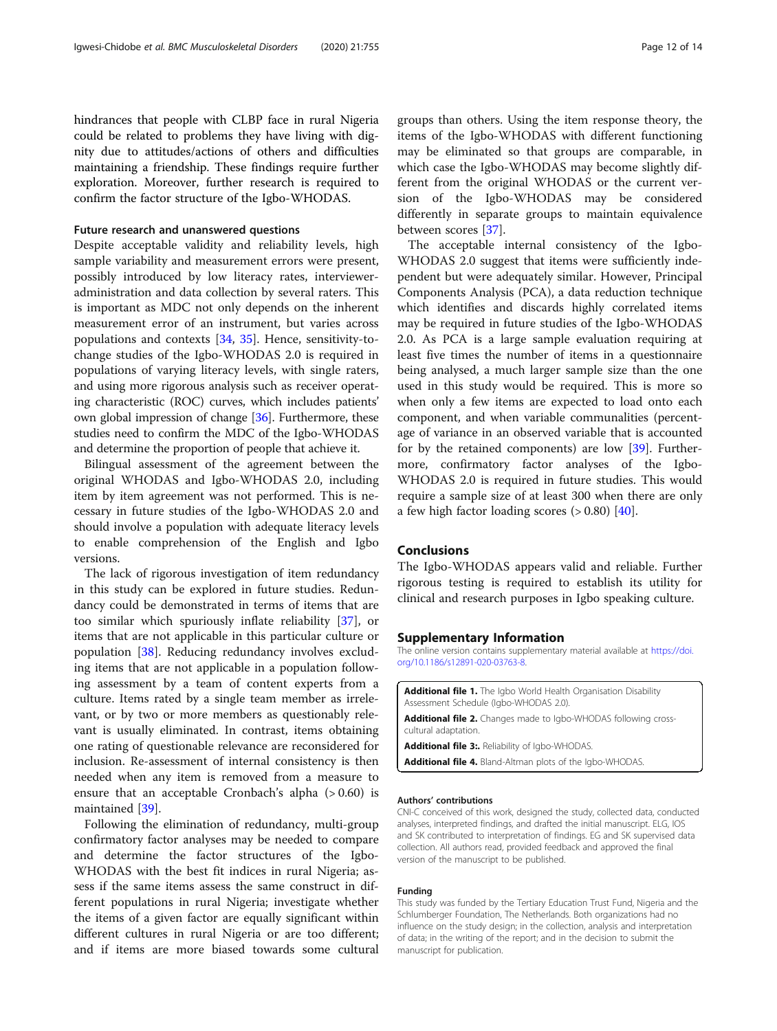<span id="page-11-0"></span>hindrances that people with CLBP face in rural Nigeria could be related to problems they have living with dignity due to attitudes/actions of others and difficulties maintaining a friendship. These findings require further exploration. Moreover, further research is required to confirm the factor structure of the Igbo-WHODAS.

# Future research and unanswered questions

Despite acceptable validity and reliability levels, high sample variability and measurement errors were present, possibly introduced by low literacy rates, intervieweradministration and data collection by several raters. This is important as MDC not only depends on the inherent measurement error of an instrument, but varies across populations and contexts [\[34](#page-13-0), [35\]](#page-13-0). Hence, sensitivity-tochange studies of the Igbo-WHODAS 2.0 is required in populations of varying literacy levels, with single raters, and using more rigorous analysis such as receiver operating characteristic (ROC) curves, which includes patients' own global impression of change [[36](#page-13-0)]. Furthermore, these studies need to confirm the MDC of the Igbo-WHODAS and determine the proportion of people that achieve it.

Bilingual assessment of the agreement between the original WHODAS and Igbo-WHODAS 2.0, including item by item agreement was not performed. This is necessary in future studies of the Igbo-WHODAS 2.0 and should involve a population with adequate literacy levels to enable comprehension of the English and Igbo versions.

The lack of rigorous investigation of item redundancy in this study can be explored in future studies. Redundancy could be demonstrated in terms of items that are too similar which spuriously inflate reliability [\[37](#page-13-0)], or items that are not applicable in this particular culture or population [\[38](#page-13-0)]. Reducing redundancy involves excluding items that are not applicable in a population following assessment by a team of content experts from a culture. Items rated by a single team member as irrelevant, or by two or more members as questionably relevant is usually eliminated. In contrast, items obtaining one rating of questionable relevance are reconsidered for inclusion. Re-assessment of internal consistency is then needed when any item is removed from a measure to ensure that an acceptable Cronbach's alpha  $(> 0.60)$  is maintained [[39](#page-13-0)].

Following the elimination of redundancy, multi-group confirmatory factor analyses may be needed to compare and determine the factor structures of the Igbo-WHODAS with the best fit indices in rural Nigeria; assess if the same items assess the same construct in different populations in rural Nigeria; investigate whether the items of a given factor are equally significant within different cultures in rural Nigeria or are too different; and if items are more biased towards some cultural groups than others. Using the item response theory, the items of the Igbo-WHODAS with different functioning may be eliminated so that groups are comparable, in which case the Igbo-WHODAS may become slightly different from the original WHODAS or the current version of the Igbo-WHODAS may be considered differently in separate groups to maintain equivalence between scores [[37\]](#page-13-0).

The acceptable internal consistency of the Igbo-WHODAS 2.0 suggest that items were sufficiently independent but were adequately similar. However, Principal Components Analysis (PCA), a data reduction technique which identifies and discards highly correlated items may be required in future studies of the Igbo-WHODAS 2.0. As PCA is a large sample evaluation requiring at least five times the number of items in a questionnaire being analysed, a much larger sample size than the one used in this study would be required. This is more so when only a few items are expected to load onto each component, and when variable communalities (percentage of variance in an observed variable that is accounted for by the retained components) are low [[39\]](#page-13-0). Furthermore, confirmatory factor analyses of the Igbo-WHODAS 2.0 is required in future studies. This would require a sample size of at least 300 when there are only a few high factor loading scores  $(> 0.80)$  [\[40\]](#page-13-0).

# Conclusions

The Igbo-WHODAS appears valid and reliable. Further rigorous testing is required to establish its utility for clinical and research purposes in Igbo speaking culture.

#### Supplementary Information

The online version contains supplementary material available at [https://doi.](https://doi.org/10.1186/s12891-020-03763-8) [org/10.1186/s12891-020-03763-8.](https://doi.org/10.1186/s12891-020-03763-8)

| <b>Additional file 1.</b> The Igbo World Health Organisation Disability<br>Assessment Schedule (Igbo-WHODAS 2.0). |
|-------------------------------------------------------------------------------------------------------------------|
| <b>Additional file 2.</b> Changes made to Igbo-WHODAS following cross-<br>cultural adaptation.                    |

Additional file 3:. Reliability of Igbo-WHODAS.

Additional file 4. Bland-Altman plots of the Igbo-WHODAS.

#### Authors' contributions

CNI-C conceived of this work, designed the study, collected data, conducted analyses, interpreted findings, and drafted the initial manuscript. ELG, IOS and SK contributed to interpretation of findings. EG and SK supervised data collection. All authors read, provided feedback and approved the final version of the manuscript to be published.

#### Funding

This study was funded by the Tertiary Education Trust Fund, Nigeria and the Schlumberger Foundation, The Netherlands. Both organizations had no influence on the study design; in the collection, analysis and interpretation of data; in the writing of the report; and in the decision to submit the manuscript for publication.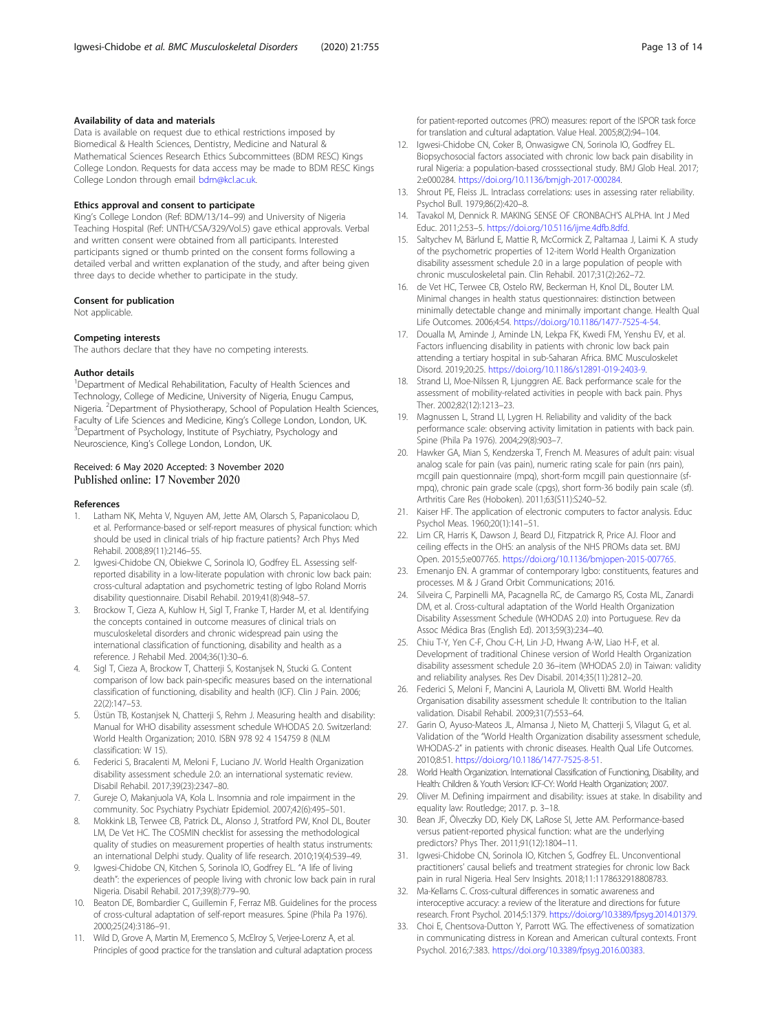#### <span id="page-12-0"></span>Availability of data and materials

Data is available on request due to ethical restrictions imposed by Biomedical & Health Sciences, Dentistry, Medicine and Natural & Mathematical Sciences Research Ethics Subcommittees (BDM RESC) Kings College London. Requests for data access may be made to BDM RESC Kings College London through email [bdm@kcl.ac.uk.](mailto:bdm@kcl.ac.uk)

#### Ethics approval and consent to participate

King's College London (Ref: BDM/13/14–99) and University of Nigeria Teaching Hospital (Ref: UNTH/CSA/329/Vol.5) gave ethical approvals. Verbal and written consent were obtained from all participants. Interested participants signed or thumb printed on the consent forms following a detailed verbal and written explanation of the study, and after being given three days to decide whether to participate in the study.

# Consent for publication

Not applicable.

#### Competing interests

The authors declare that they have no competing interests.

#### Author details

<sup>1</sup>Department of Medical Rehabilitation, Faculty of Health Sciences and Technology, College of Medicine, University of Nigeria, Enugu Campus, Nigeria. <sup>2</sup>Department of Physiotherapy, School of Population Health Sciences, Faculty of Life Sciences and Medicine, King's College London, London, UK. <sup>3</sup>Department of Psychology, Institute of Psychiatry, Psychology and Neuroscience, King's College London, London, UK.

#### Received: 6 May 2020 Accepted: 3 November 2020 Published online: 17 November 2020

#### References

- Latham NK, Mehta V, Nguyen AM, Jette AM, Olarsch S, Papanicolaou D, et al. Performance-based or self-report measures of physical function: which should be used in clinical trials of hip fracture patients? Arch Phys Med Rehabil. 2008;89(11):2146–55.
- Igwesi-Chidobe CN, Obiekwe C, Sorinola IO, Godfrey EL. Assessing selfreported disability in a low-literate population with chronic low back pain: cross-cultural adaptation and psychometric testing of Igbo Roland Morris disability questionnaire. Disabil Rehabil. 2019;41(8):948–57.
- 3. Brockow T, Cieza A, Kuhlow H, Sigl T, Franke T, Harder M, et al. Identifying the concepts contained in outcome measures of clinical trials on musculoskeletal disorders and chronic widespread pain using the international classification of functioning, disability and health as a reference. J Rehabil Med. 2004;36(1):30–6.
- Sigl T, Cieza A, Brockow T, Chatterji S, Kostanjsek N, Stucki G. Content comparison of low back pain-specific measures based on the international classification of functioning, disability and health (ICF). Clin J Pain. 2006; 22(2):147–53.
- 5. Üstün TB, Kostanjsek N, Chatterji S, Rehm J. Measuring health and disability: Manual for WHO disability assessment schedule WHODAS 2.0. Switzerland: World Health Organization; 2010. ISBN 978 92 4 154759 8 (NLM classification: W 15).
- 6. Federici S, Bracalenti M, Meloni F, Luciano JV. World Health Organization disability assessment schedule 2.0: an international systematic review. Disabil Rehabil. 2017;39(23):2347–80.
- 7. Gureje O, Makanjuola VA, Kola L. Insomnia and role impairment in the community. Soc Psychiatry Psychiatr Epidemiol. 2007;42(6):495–501.
- 8. Mokkink LB, Terwee CB, Patrick DL, Alonso J, Stratford PW, Knol DL, Bouter LM, De Vet HC. The COSMIN checklist for assessing the methodological quality of studies on measurement properties of health status instruments: an international Delphi study. Quality of life research. 2010;19(4):539–49.
- 9. Igwesi-Chidobe CN, Kitchen S, Sorinola IO, Godfrey EL. "A life of living death": the experiences of people living with chronic low back pain in rural Nigeria. Disabil Rehabil. 2017;39(8):779–90.
- 10. Beaton DE, Bombardier C, Guillemin F, Ferraz MB. Guidelines for the process of cross-cultural adaptation of self-report measures. Spine (Phila Pa 1976). 2000;25(24):3186–91.
- 11. Wild D, Grove A, Martin M, Eremenco S, McElroy S, Verjee-Lorenz A, et al. Principles of good practice for the translation and cultural adaptation process

for patient-reported outcomes (PRO) measures: report of the ISPOR task force for translation and cultural adaptation. Value Heal. 2005;8(2):94–104.

- 12. Igwesi-Chidobe CN, Coker B, Onwasigwe CN, Sorinola IO, Godfrey EL. Biopsychosocial factors associated with chronic low back pain disability in rural Nigeria: a population-based crosssectional study. BMJ Glob Heal. 2017; 2:e000284. [https://doi.org/10.1136/bmjgh-2017-000284.](https://doi.org/10.1136/bmjgh-2017-000284)
- 13. Shrout PE, Fleiss JL. Intraclass correlations: uses in assessing rater reliability. Psychol Bull. 1979;86(2):420–8.
- 14. Tavakol M, Dennick R. MAKING SENSE OF CRONBACH'S ALPHA. Int J Med Educ. 2011;2:53–5. <https://doi.org/10.5116/ijme.4dfb.8dfd>.
- 15. Saltychev M, Bärlund E, Mattie R, McCormick Z, Paltamaa J, Laimi K. A study of the psychometric properties of 12-item World Health Organization disability assessment schedule 2.0 in a large population of people with chronic musculoskeletal pain. Clin Rehabil. 2017;31(2):262–72.
- 16. de Vet HC, Terwee CB, Ostelo RW, Beckerman H, Knol DL, Bouter LM. Minimal changes in health status questionnaires: distinction between minimally detectable change and minimally important change. Health Qual Life Outcomes. 2006;4:54. <https://doi.org/10.1186/1477-7525-4-54>.
- 17. Doualla M, Aminde J, Aminde LN, Lekpa FK, Kwedi FM, Yenshu EV, et al. Factors influencing disability in patients with chronic low back pain attending a tertiary hospital in sub-Saharan Africa. BMC Musculoskelet Disord. 2019;20:25. [https://doi.org/10.1186/s12891-019-2403-9.](https://doi.org/10.1186/s12891-019-2403-9)
- 18. Strand LI, Moe-Nilssen R, Ljunggren AE. Back performance scale for the assessment of mobility-related activities in people with back pain. Phys Ther. 2002;82(12):1213–23.
- 19. Magnussen L, Strand LI, Lygren H. Reliability and validity of the back performance scale: observing activity limitation in patients with back pain. Spine (Phila Pa 1976). 2004;29(8):903–7.
- 20. Hawker GA, Mian S, Kendzerska T, French M. Measures of adult pain: visual analog scale for pain (vas pain), numeric rating scale for pain (nrs pain), mcgill pain questionnaire (mpq), short-form mcgill pain questionnaire (sfmpq), chronic pain grade scale (cpgs), short form-36 bodily pain scale (sf). Arthritis Care Res (Hoboken). 2011;63(S11):S240–52.
- 21. Kaiser HF. The application of electronic computers to factor analysis. Educ Psychol Meas. 1960;20(1):141–51.
- 22. Lim CR, Harris K, Dawson J, Beard DJ, Fitzpatrick R, Price AJ. Floor and ceiling effects in the OHS: an analysis of the NHS PROMs data set. BMJ Open. 2015;5:e007765. [https://doi.org/10.1136/bmjopen-2015-007765.](https://doi.org/10.1136/bmjopen-2015-007765)
- 23. Emenanjo EN. A grammar of contemporary Igbo: constituents, features and processes. M & J Grand Orbit Communications; 2016.
- 24. Silveira C, Parpinelli MA, Pacagnella RC, de Camargo RS, Costa ML, Zanardi DM, et al. Cross-cultural adaptation of the World Health Organization Disability Assessment Schedule (WHODAS 2.0) into Portuguese. Rev da Assoc Médica Bras (English Ed). 2013;59(3):234–40.
- 25. Chiu T-Y, Yen C-F, Chou C-H, Lin J-D, Hwang A-W, Liao H-F, et al. Development of traditional Chinese version of World Health Organization disability assessment schedule 2.0 36–item (WHODAS 2.0) in Taiwan: validity and reliability analyses. Res Dev Disabil. 2014;35(11):2812–20.
- 26. Federici S, Meloni F, Mancini A, Lauriola M, Olivetti BM. World Health Organisation disability assessment schedule II: contribution to the Italian validation. Disabil Rehabil. 2009;31(7):553–64.
- 27. Garin O, Ayuso-Mateos JL, Almansa J, Nieto M, Chatterji S, Vilagut G, et al. Validation of the "World Health Organization disability assessment schedule, WHODAS-2" in patients with chronic diseases. Health Qual Life Outcomes. 2010;8:51. <https://doi.org/10.1186/1477-7525-8-51>.
- 28. World Health Organization. International Classification of Functioning, Disability, and Health: Children & Youth Version: ICF-CY: World Health Organization; 2007.
- 29. Oliver M. Defining impairment and disability: issues at stake. In disability and equality law: Routledge; 2017. p. 3–18.
- 30. Bean JF, Ölveczky DD, Kiely DK, LaRose SI, Jette AM. Performance-based versus patient-reported physical function: what are the underlying predictors? Phys Ther. 2011;91(12):1804–11.
- 31. Igwesi-Chidobe CN, Sorinola IO, Kitchen S, Godfrey EL. Unconventional practitioners' causal beliefs and treatment strategies for chronic low Back pain in rural Nigeria. Heal Serv Insights. 2018;11:1178632918808783.
- 32. Ma-Kellams C. Cross-cultural differences in somatic awareness and interoceptive accuracy: a review of the literature and directions for future research. Front Psychol. 2014;5:1379. <https://doi.org/10.3389/fpsyg.2014.01379>.
- 33. Choi E, Chentsova-Dutton Y, Parrott WG. The effectiveness of somatization in communicating distress in Korean and American cultural contexts. Front Psychol. 2016;7:383. <https://doi.org/10.3389/fpsyg.2016.00383>.